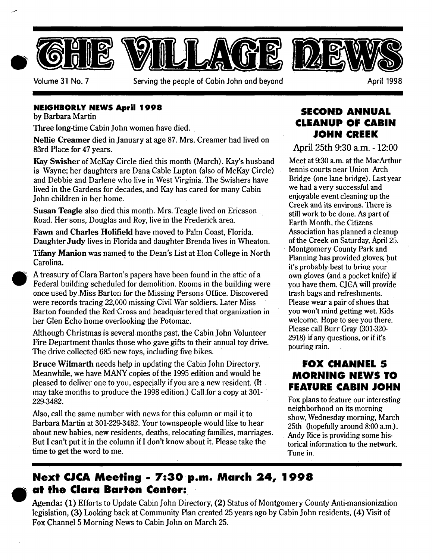

#### **NEIGHBORLY NEWS April 1998**

by Barbara Martin

Three long-time Cabin John women have died.

Nellie Creamer died in January at age 87. Mrs. Creamer had lived on 83rd Place for 47 years.

Kay Swisher of McKay Circle died this month (March). Kay's husband is Wayne; her daughters are Dana Cable Lupton (also of McKay Circle) and Debbie and Darlene who live in West Virginia. The Swishers have lived in the Gardens for decades, and Kay has cared for many Cabin John children in her home.

Susan Teagle also died this month. Mrs. Teagle lived on Ericsson Road. Her sons, Douglas and Roy, live in the Frederick area.

Fawn and Charles Holifield have moved to Pahn Coast, Florida. Daughter Judy lives in Florida and daughter Brenda lives in Wheaton.

Tifany Manion was named to the Dean's List at Elon College in North Carolina.

A treasury of Clara Barton's papers have been found in the attic of a Federal building scheduled for demolition. Rooms in the building were once used byMiss Barton for the Missing Persons Office. Discovered were records tracing 22,000 missing Civil War soldiers. Later Miss Barton founded the Red Cross and headquartered that organization in her Glen Echo home overlooking the Potomac.

Although Christmas is several months past, the Cabin John Volunteer Fire Department thanks those who gave gifts to their annual toy drive. The drive collected 685 new toys, including five bikes.

Bruce Wilmarth needs help in updating the Cabin John Directory. Meanwhile, we have MANY copies of the 1995 edition and would be pleased to deliver one to you, especially if you are a new resident. (It may take months to produce the 1998 edition.) Call for a copy at 301- 229-3482.

Also, call the same number with news for this column or mail it to Barbara Martin at 301-229-3482. Your townspeople would like to hear about new babies, new residents, deaths, relocating families, marriages: But I can't put it in the column if I don't know about it. Please take the time to get the word to me.

### **SECOND ANNUAL CLEANUP OF CABIN JOHN CREEK**

**April 25th 9:30 a.m. - 12:00** 

Meet at 9:30 a.m. at the MacArthur tennis courts near Union Arch Bridge (one lane bridge). Last year we had a very successful and enjoyable event cleaning up the Creek and its environs. There is still work to be done. As part of Earth Month, the Citizens Association has planned a cleanup of the Creek on Saturday, April 25. Montgomery County Park and Planning has provided gloves; but it's probably best to bring your own gloves (and a pocket knife) if you have them. CJCA will provide trash bags and refreshments. Please wear a pair of shoes that you won't mind getting wet. Kids welcome. Hope to see you there. Please call Burr Gray (301-320- 2918) if any questions, or if it's pouring rain.

## **FOX CHANNEL S MORNING NEWS TO FEATURE CABIN JOHN**

Fox plans to feature our interesting neighborhood on its morning show, Wednesday morning, March 25th (hopefully around 8:00 a.m.). Andy Rice is providing some historical information to the network. Tune in.

## **Next CJCA Meeting - 7:30 p.m. March 24, 1998 at the Clara Barton Center:**

Agenda: (1) Efforts to Update Cabin John Directory, (2) Status of Montgomery County Anti-mansionization legislation, (3) Looking back at Community Plan created 25 years ago by Cabin John residents, (4) Visit of Fox Channel 5 Morning News to Cabin John on March 25.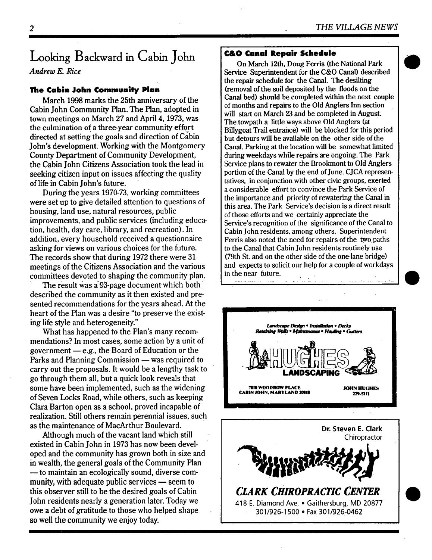# **Looking Backward in Cabin John**

*Andrew E. Rice* 

#### **The Cabin John Community Plan**

March 1998 marks the 25th anniversary of the Cabin John Community Plan. The Plan, adopted in town meetings on March 27 and April 4, 1973, was the culmination of a three-year Community effort directed at setting the goals and direction of Cabin John's development. Working with the Montgomery County Department of Community Development, the Cabin John Citizens Association took the lead in seeking citizen input on issues affecting the quality of life in Cabin John's future.

During the years 1970-73, working committees were set up to give detailed attention to questions of housing, land use, natural resources, public improvements, and public services (including education, health, day care, library, and recreation). In addition, every household received a questionnaire asking for views on various choices for the future. The records show that during 1972 there were 31 meetings of the Citizens Association and the various committees devoted to shaping the community plan.

The result was a 93-page document which both described the community as it then existed and presented recommendations for the years ahead. At the heart of the Plan was a desire "to preserve the existing life style and heterogeneity."

What has happened to the Plan's many recommendations? In most cases, some action by a unit of government  $-e.g.,$  the Board of Education or the Parks and Planning Commission — was required to carry out the proposals. It would be a lengthy task to go through them all, but a quick look reveals that some have been implemented, such as the widening of Seven Locks Road, while others, such as keeping Clara Barton open as a school, proved incapable of realization. Still others remain perennial issues, such as the maintenance of MacArthur Boulevard.

Although much of the vacant land which still existed in Cabin John in 1973 has now been developed and the community has grown both in size and in wealth, the general goals of the Community Plan — to maintain an ecologically sound, diverse community, with adequate public services  $-$  seem to this observer still to be the desired goals of Cabin John residents nearly a generation later. Today we owe a debt of gratitude to those who helped shape so well the community we enjoy today.

#### **C&O Canal Repair Schedule**

On March 12th, Doug Ferris (the National Park Service Superintendent for the C&O Canal) described the repair schedule for the Canal. The desilting (removal of the soil deposited by the floods on the Canal bed) should be completed within the next couple of months and repairs to the Old Anglers Inn section will start on March 23 and be completed in August. The towpath a little ways above Old Anglers (at Billygoat Trail entrance) will be blocked for this period but detours will be available on the other side of the Canal. Parking at the location will be somewhat limited during weekdays while repairs are ongoing. The Park Service plans to rewater the Brookmont to Old Anglers portion of the Canal by the end of June. CJCA representatives, in conjunction with other civic groups, exerted a considerable effort to convince the Park Service of the importance and priority of rewatering the Canal in this area. The Park Service's decision is a direct result of those efforts and we certainly appreciate the Service's recognition of the significance of the Canal to Cabin John residents, among others. Superintendent Ferris also noted the need for repairs of the two paths to the Canal that Cabin John residents routinely use (79th St. and on the other side of the one-lane bridge) and expects to solicit our help for a couple of workdays in the near future.





#### *CLARK CHIROPRACTIC CENTER*  418 E. Diamond Ave. • Gaithersburg, MD 20877 301/926-1500 • Fax 301/926-0462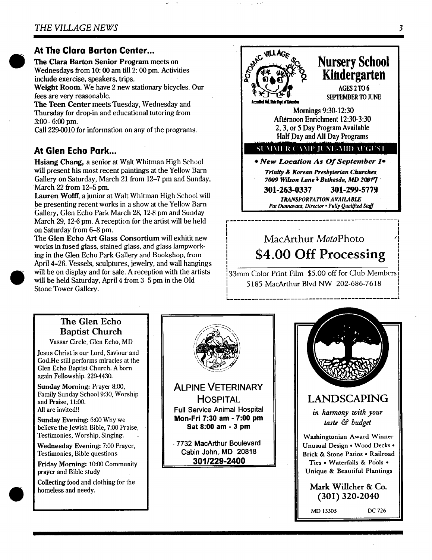#### **At The Clara Barton Center...**

**The Clara Barton Senior** Program meets on Wednesdays from 10:00 am till 2:00 pm. Activities include exercise, speakers, trips.

Weight Room. We have 2 new stationary bicycles. Our fees are very reasonable.

**The Teen Center** meets Tuesday, Wednesday and Thursday for drop-in and educational tutoring from 3:00 - 6:00 pm.

Call 229-0010 for information on any of the programs.

### **At Glen Echo Park...**

Hsiang Chang, a senior at Walt Whitman High School will present his most recent paintings at the Yellow Barn Gallery on Saturday, March 21 from 12-7 pm and Sunday, March 22 from 12-5 pm.

Lauren Wolff, a junior at Walt Whitman High School will be presenting recent works in a show at the Yellow Barn Gallery, Glen Echo Park March 28, 12-8 pm and Sunday March 29, 12-6 pm. A reception for the artist will be held on Saturday from 6-8 pm.

The Glen Echo Art Glass Consortium will exhitit new works in fused glass, stained glass, and glass lampworking in the Glen Echo Park Gallery and Bookshop, from April 4-26. Vessels, sculptures, jewelry, and wall hangings will be on display and for sale. A reception with the artists will be held Saturday, April 4 from 3 5 pm in the Old Stone Tower Gallery.

#### $Nursery School$ **Kindergarten**  AGES 2 TO 6 **SEPTEMBER TO JUNE** Aecredikel Md. State Dept. of Kducation Mornings 9:30-12:30 Afternoon Enrichment 12:30-3:30 2, 3, or 5 Day Program Available Half Day and All Day Programs SUMMER CAMP JUNE-MID AUGUST *\* New Location As Of September le • Trinity & Korean Presbyterian Churches. 7009 Wilson Lane ~ Bethi~sda, MD 20017 "*  **301-263-0337 301-299-5779**  *TRANSPORTATION A VAIl.ABLE Pat Dunnavant, Director • Fully Qualified Staff*

# MacArthur *MotoPhoto " ,'* **<sup>I</sup>** \$4.00 Off Processing

*................................................ ]* 

] 33mm Color Print Film \$5.00 off for Club Members 5185 MacArthur Blvd NW 202-686-7618

## **The Glen Echo Baptist Church**

Vassar Circle, Glen Echo, MD

Jesus Christ is our Lord, Saviour and God.He still performs miracles at the Glen Echo Baptist Church. A born again Fellowship. 229-4430.

Sunday Morning: Prayer 8:00, Family Sunday School 9:30, Worship and Praise, 11:00. All are invited!!

Sunday Evening: 6:00 Why we believe the Jewish Bible, 7:00 Praise, Testimonies, Worship, Singing.

Wednesday Evening: 7:00 Prayer, Testimonies, Bible questions

Friday Morning: 10:00 Community prayer and Bible study

Collecting food and clothing for the homeless and needy.





*i* 

*! I I* 

I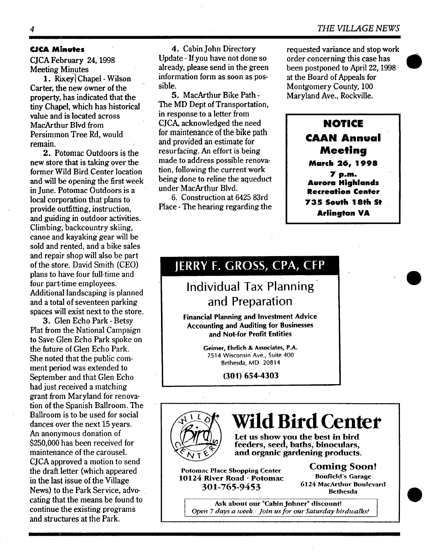#### **CJCA Minutes**

CJCA February 24, 1998 Meeting Minutes

1. Rixey Chapel - Wilson Carter, the new owner of the property, has indicated that the tiny Chapel, which has historical value and is located across MacArthur Blvd from Persimmon Tree Rd, would remain.

2. Potomac Outdoors is the new store that is taking over the former Wild Bird Center location and will be opening the first week in June. Potomac Outdoors is a local corporation that plans to provide outfitting, instruction, and guiding in outdoor activities. Climbing, backcountry skiing, canoe and kayaking gear will be sold and rented, and a bike sales and repair shop will also be part of the store. David Smith (CEO) plans to have four full-time and four part-time employees. Additional landscaping is planned and a total of seventeen parking spaces will exist next to the store.

3. Glen Echo Park - Betsy Plat from the National Campaign to Save Glen Echo Park spoke on the future of Glen Echo Park. She noted that the public comment period was extended to September and that Glen Echo had just received a matching grant from Maryland for renovation of the Spanish Ballroom. The Ballroom is to be used for social dances over the next 15 years. An anonymous donation of \$250,000 has been received for maintenance of the carousel. CJCA approved a motion to send the draft letter (which appeared in the last issue of the Village News) to the Park Service, advocaring that the means be found to continue the existing programs and structures at the Park.

4. Cabin John Directory Update - If you have not done so already, please send in the green information form as soon as possible.

5. MacArthur Bike Path - The MD Dept of Transportation, in response to a letter from CJCA, acknowledged the need for maintenance of the bike path and provided an estimate for resurfacing. An effort is being made to address possible renovation, following the current work being done to reline the aqueduct under MacArthur Blvd.

6. Construction at 6425 83rd Place - The hearing regarding the requested variance and stop work order concerning this case has been postponed to April 22, 1998 at the Board of Appeals for Montgomery County, 100 Maryland Ave., Rockville.

> **NOTICE CAAN Annual Meeting March** *26, 1998*  **7 p.m. Aurora Highlands Recreation Center 73S South 18th St Arlington VA**

# JERRY F. GROSS, CPA, CFP

# **Individual Tax Planning and Preparation**

Financial **Planning and Investment** Advice Accounting and Auditing **for Businesses and Not-for Profit Entities** 

> **Geimer,** Ehrlich & Associates, P.A. 7514 Wisconsin Ave., Suite 400 Bethesda, MD 20814

> > **(301) 654-4303**



# **Wild Bird Center**

Let us show you the best in bird feeders, seed, baths, binoculars, and organic gardening **products.** 

**Potomac** Place Shopping Center 10124 River Road • **Potomac**  301-765-9453

Coming **Soon!**  Bonfield's Garage 6124 MacArthur Boulevard Bethesda

Ask about our "Cabin Johner" discount! *Open 7 days a week • Join us for our Saturday birdwalks!*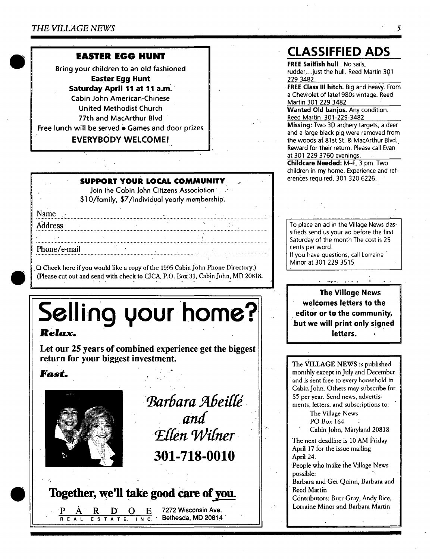### **EASTER EGG HUNT**

Bring your children to an old fashioned **Easter Egg Hunt Saturday April 11 at 11 a.m.**  Cabin John American-Chinese United Methodist Church 77th and MacArthur Blvd

Free lunch will be served • Games and door prizes

#### **EVERYBODY WELCOME!**

#### **-: . SUPPORT YOUR LOCAL COMMUNITY ~. -**

[ . ...

Join the Cabin John Citizens Association: \$1 0/family, \$7/individual yearly membership.

N..a.m..e....:: .................................................................... +: ........................................................................ Address

**Phone/e-mail** 

ID Check here if you would like a copy of the 1995 Cabin john Phone Directory.) (Please cut out and send with check to CJCA, P.O. Box 31, Cabin John, MD 20818.

................................................................................... : ............... • .................... ,..i. + .....................................

# Selling your home? Relax.

++ . , . • -

**Let our 25 years of combined experience get the biggest return for your biggest investment.** 

## $\boldsymbol{Fast.}$



*Barbara Abeillé and <u>Ellen Wilner</u>* **301-718-0010** 

## Together, we'll take good care of you.

 $R$  D O E 7272 Wisconsin Ave. R E A L E S T A T E, I N C.

## **CLASSIFFIED ADS**

**FREE Sailfish hull** No sails, rudder,...just the hull. Reed Martin 391 229 3482.

**FREE Class** III hitch. Big and heavy. From a Chevrolet of late1980s vintage. Reed Martin 301 229 3482

**Wanted Old banjos.** Any condition. Reed Martin 301-229-3482

**Missing:** Two 3D archery targets, a deer and a large black pig were removed from the woods at 81st St. & MacArthur Blvd. Reward for their return. Please call Evan at 301 229 3760 evenings.

**Childcare Needed:** M-F, 3 pm. Two children in my home. Experience and references required. 301 320 6226.

To place an ad in the Village News classifieds send us your ad before the first Saturday of the month The cost is 25 cents per word. If you have questions, call Lorraine '

Minor at 301 229 3515

**The Village News welcomes letters-to the editor or to the community, ~but we will print only signed**  letters.

The VILLAGE NEWS is published monthly except in Julyand December and is sent free to every household in Cabin John. Others may subscribe for \$5 per year. Send news, advertisments, letters, and subscriptions to:

The Village News

PO Box 164

Cabin John, Maryland 20818

The next deadline is 10 AM Friday April 17 for the issue mailing April 24.

People who make the Village News possible: '

Barbara and Ger Quinn, Barbara and Reed Martih

Contributors: Burr Gray, Andy Rice, Lorraine Minor and Barbara Martin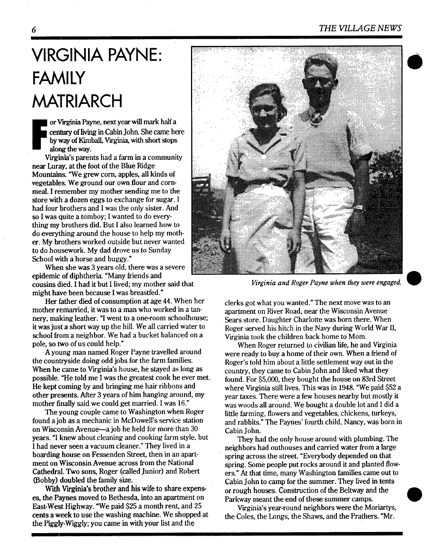#### *6 THE VILLAGE NEWS*

# **VIRGINIA PAYNE: FAMILY MATRIARCH**

or Virginia Payne, next year will mark half a century of living in Cabin John. She came here **by** way of Kunball, Virginia, with short stops along the way.

Virginia's parents had a farm in a community near Luray, at the foot of the Blue Ridge Mountains. %Ve grew corn, apples, all kinds of vegetables. We ground our own flour and cornmeal. I remember my mother sending me to the store with a dozen eggs to exchange for sugar. I had four brothers and I was the only sister. And so I was quite a tomboy; I wanted to do everything my brothers did. But I also learned how to do everything around the house to help my mother. My brothers worked outside but never wanted to do housework. My dad drove us to Sunday School with a horse and buggy."

When she was 3 years old, there was a severe epidemic of diphtheria. "Many friends and cousins died. I had it but I lived; my mother said that might have been because I was breasffed."

Her father died of consumption at age 44. When her mother remarried, it was to a man who worked in a tannery, making leather. "I went to a one-room schoolhouse; it was just a short way up the hill. We all carried water to school from a neighbor. We had a bucket balanced on a pole, so two of us could help."

A young man named Roger Payne travelled around the countryside doing odd jobs for the farm families. When he came to Virginia's house, he stayed as long as possible. "He told me I was the greatest cook he ever met. He kept coming by and bringing me hair ribbons and other presents. After 3 years of him hanging around, my mother finally said we could get married. I was 16."

The young couple came to Washington when Roger found a job as a mechanic in McDowell's service station on Wisconsin Avenue-a job he held for more than 30 years. "I knew about cleaning and cooking farm style, but I had never seen a vacuum cleaner." They lived in a boarding house on Fessenden Street, then in an apartment on Wisconsin Avenue across from the National Cathedral. Two sons, Roger (called Junior) and Robert (Bobby) doubled the family size.

With Virginia's brother and his wife to share expenses, the Paynes moved to Bethesda, into an apartment on East-West Highway. "We paid \$25a month rent, and 25 cents a week to use the washing machine. We shopped at *the Piggly-Wiggly;* you came in with your list and the



*Virginia and Roger Payne when they were engaged.* 

clerks got what you wanted." The next move was to an apartment on River Road, near the Wisconsin Avenue Sears store. Daughter Charlotte was born there. When Roger served his hitch in the Navy during World War II, Virginia took the children back home to M0m.

When Roger returned to civilian life, he and Virginia were ready to buy a home of their own. When a friend of Roger's told him about a little settlement way out in the country, they came to Cabin John and liked what they found. For \$5,000, they bought the house on 83rd Street where Virginia still lives. This was in 1948. "We paid \$52 a year taxes. There were a few houses nearby but mostly it was woods all around. We bought a double lot and I did a little farming, flowers and vegetables, chickens, turkeys, and rabbits." The Paynes' fourth child, Nancy, was born in Cabin John.

They had the only house around with plumbing. The neighbors had outhouses and carried water from a large spring across the street. "Everybody depended on that spring. Some people put rocks around it and planted flowers." At that time, many Washington families came out to Cabin John to camp for the summer. They lived in tents or rough houses. Construction of the Beltway and the Parkway meant the end of these summer camps.

Virginia's year-round neighbors were the Moriartys, the Coles, the Longs, the Shaws, and the Prathers. "Mr.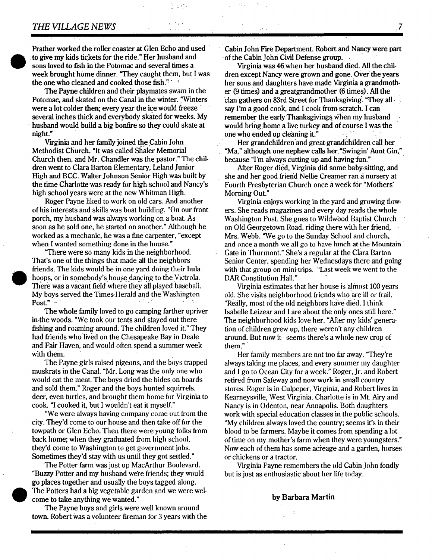#### *THE VILLAGE NEWS*

Prather worked the roller coaster at Glen Echo and used to give my kids tickets for the ride." Her husband and sons loved to fish in the Potomac and several times a week brought home dinner. "They caught them, but I was the one who cleaned and cooked those fish.<sup> $n = 4$ </sup>

The Payne children and their playmates swam in the Potomac, and skated on the Canal in the winter. "Winters were a lot colder then; every year the ice would freeze several inches thick and everybody skated for weeks. My husband would build a big bonfire so they could skate at night."

Virginia and her family joined the Cabin John Methodist Church. "It was called Shaler Memorial Church then, and Mr. Chandler was the pastor." The children went to Clara Barton Elementary, Leland Junior High and BCC. Walter Johnson Senior High was built by the time Charlottewas ready for high school and Nancy's high school years were at the new Whitman High.

Roger Payne liked to work on old cars. And another of his interests and skills was boat building. "On our front porch, my husband was always working on a boat. As soon as he sold one, he started on another." Although he worked as a mechanic, he was a fine carpenter, "except when I wanted something done in the house."

"There were so many kids in the neighborhood. That's one of the things that made all the neighbors friends. The kids would be in one yard doing their hula hoops, or in somebody's house dancing to the Victrola. There was a vacant field where they all played baseball. My boys served the Times-Herald and the Washington Post."  $\sim$ 

The whole family loved to go camping farther upriver in the woods. "We took our tents and stayed out there fishing and roaming around. The children loved it." They had friends who lived on the Chesapeake Bay in Deale and Fair Haven, and would often spend a summer week with them.

The Payne girls raised pigeons, and the boys trapped muskrats in the Canal. "Mr. Long was the only one who would eat the meat. The boys dried the hides on boards and sold them." Roger and the boys hunted squirrels, deer, even turtles, and brought them home for Virginia to cook. "I cooked it, but I wouldn't eat it myself."

"We were always having company come out from the city. They'd come to our house and then take off for the towpath or Glen Echo. Then there were young folks from back home; when they graduated from high school, they'd come to Washington to get government jobs. Sometimes they'd stay with us until they got settled."

The Potter farm was just up MacArthur Boulevard. "Buzzy Potter and my husband we're friends; they would go places together and usually the boys tagged along. The Potters had a big vegetable garden and we were welcome to take anything we wanted."

The Payne boys and girls were well known around town. Robert was a volunteer fireman for 3 years with the

Cabin John Fire Department. Robert and Nancy were part of the Cabin John Civil Defense group..

Virginia was 46when her husband died. All the children except Nancy were grown and gone. Over the years her sons and daughters have made Virginia a grandmother (9 times) and a greatgrandmother (6 times). All the clan gathers on 83rd Street for Thanksgiving. "They allsay I'm a good cook, and I cook from scratch. I can remember the early Thanksgivings\_When my husband would bring home a live turkey and of course I was the one who ended up cleaning it."

Her grandchildren and great-grandchildren call her "Ma," although one'nephew calls her."Swingin' Aunt Gin," because "I'm always Cutting up and having-fun."

After Roger died, Virginia did some baby-sitting, and she and her good friend Nellie Creamer ran a nursery at Fourth Presbyterian Church once a week for "Mothers' Morning Out."

Virginia enjoys working in the yard and growing flowers. She reads magazines and every day reads the whole Washington Post. She goes to Wildwood Baptist Church on Old Georgetown Road, riding there with her friend, Mrs. Webb. "We go to the Sunday School and church, and once a month we all go to have lunch at the Mountain Gate in Thurmont." She's a regular at the Clara Barton Senior Center, spending her Wednesdays there and going with that group on mini-trips. "Last week we went to the DAR Constitution Hall:"

Virginia estimates that her house is almost 100 years old. She visits neighborhood friends who are ill or frail. "Really, most of the old neighbors have died. I think Isabelle Leizear 'and I are about the only ones still here." The neighborhood kids love her. "After my kids' generation of children grew up, there weren't any children around. But now it seems there's a whole new crop of them."

Her family members are not too far away. "They're always taking me places, and every summer my daughter and I go to Ocean City for a week." Roger, Jr. and Robert retired from Safeway and now work in small country stores. Roger is in Culpeper, Virginia, and Robert lives in Kearneysville, West Virginia. Charlotte is in Mt. Airy and Nancy is in Odenton, near Annapolis. Both daughters work with special education classes in the public schools. "My children always loved the country; seems it's in their blood to be farmers. Maybe it comes from spending a lot of time on my mother's farm when they were youngsters." Now each of them has some acreage and a garden, horses or chickens or a tractor.

Virginia Payne remembers the old Cabin John fondly but is just as enthusiastic about her life today.

#### by Barbara Martin

**• 7**